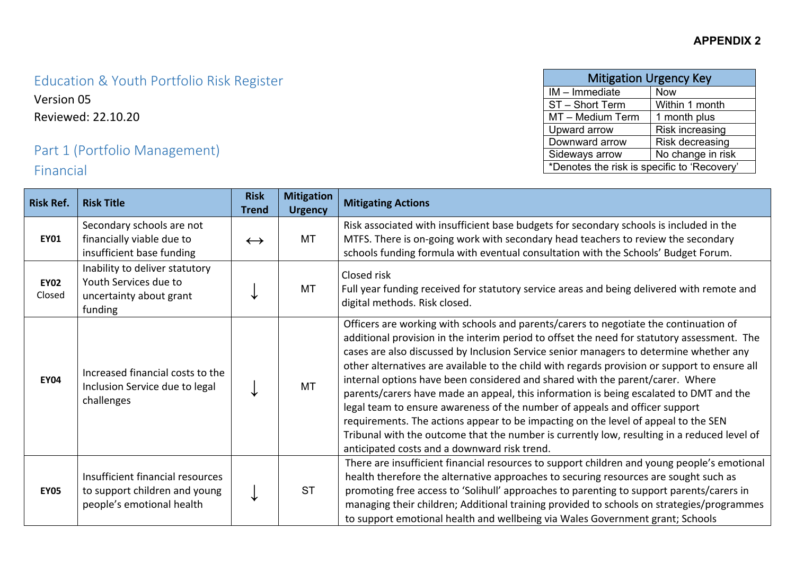# Education & Youth Portfolio Risk Register

Version 05 Reviewed: 22.10.20

### Part 1 (Portfolio Management) Financial

| <b>Mitigation Urgency Key</b>               |                 |  |  |  |  |  |
|---------------------------------------------|-----------------|--|--|--|--|--|
| IM - Immediate                              | <b>Now</b>      |  |  |  |  |  |
| ST - Short Term                             | Within 1 month  |  |  |  |  |  |
| MT - Medium Term                            | 1 month plus    |  |  |  |  |  |
| Upward arrow                                | Risk increasing |  |  |  |  |  |
| Downward arrow                              | Risk decreasing |  |  |  |  |  |
| No change in risk<br>Sideways arrow         |                 |  |  |  |  |  |
| *Denotes the risk is specific to 'Recovery' |                 |  |  |  |  |  |

| <b>Risk Ref.</b>      | <b>Risk Title</b>                                                                              | <b>Risk</b><br><b>Trend</b> | <b>Mitigation</b><br><b>Urgency</b> | <b>Mitigating Actions</b>                                                                                                                                                                                                                                                                                                                                                                                                                                                                                                                                                                                                                                                                                                                                                                                                                                                      |
|-----------------------|------------------------------------------------------------------------------------------------|-----------------------------|-------------------------------------|--------------------------------------------------------------------------------------------------------------------------------------------------------------------------------------------------------------------------------------------------------------------------------------------------------------------------------------------------------------------------------------------------------------------------------------------------------------------------------------------------------------------------------------------------------------------------------------------------------------------------------------------------------------------------------------------------------------------------------------------------------------------------------------------------------------------------------------------------------------------------------|
| <b>EY01</b>           | Secondary schools are not<br>financially viable due to<br>insufficient base funding            | $\leftrightarrow$           | MT                                  | Risk associated with insufficient base budgets for secondary schools is included in the<br>MTFS. There is on-going work with secondary head teachers to review the secondary<br>schools funding formula with eventual consultation with the Schools' Budget Forum.                                                                                                                                                                                                                                                                                                                                                                                                                                                                                                                                                                                                             |
| <b>EY02</b><br>Closed | Inability to deliver statutory<br>Youth Services due to<br>uncertainty about grant<br>funding  |                             | <b>MT</b>                           | Closed risk<br>Full year funding received for statutory service areas and being delivered with remote and<br>digital methods. Risk closed.                                                                                                                                                                                                                                                                                                                                                                                                                                                                                                                                                                                                                                                                                                                                     |
| <b>EY04</b>           | Increased financial costs to the<br>Inclusion Service due to legal<br>challenges               |                             | <b>MT</b>                           | Officers are working with schools and parents/carers to negotiate the continuation of<br>additional provision in the interim period to offset the need for statutory assessment. The<br>cases are also discussed by Inclusion Service senior managers to determine whether any<br>other alternatives are available to the child with regards provision or support to ensure all<br>internal options have been considered and shared with the parent/carer. Where<br>parents/carers have made an appeal, this information is being escalated to DMT and the<br>legal team to ensure awareness of the number of appeals and officer support<br>requirements. The actions appear to be impacting on the level of appeal to the SEN<br>Tribunal with the outcome that the number is currently low, resulting in a reduced level of<br>anticipated costs and a downward risk trend. |
| <b>EY05</b>           | Insufficient financial resources<br>to support children and young<br>people's emotional health | ↓                           | <b>ST</b>                           | There are insufficient financial resources to support children and young people's emotional<br>health therefore the alternative approaches to securing resources are sought such as<br>promoting free access to 'Solihull' approaches to parenting to support parents/carers in<br>managing their children; Additional training provided to schools on strategies/programmes<br>to support emotional health and wellbeing via Wales Government grant; Schools                                                                                                                                                                                                                                                                                                                                                                                                                  |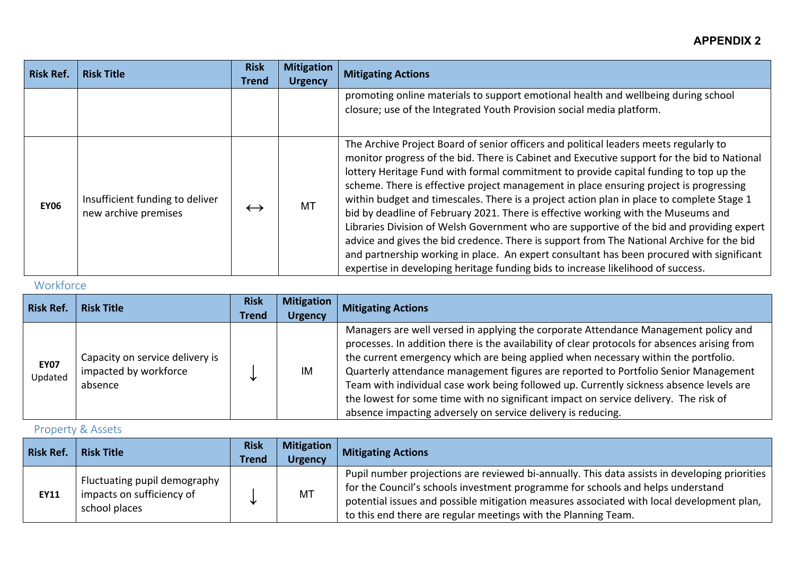| <b>Risk Ref.</b> | <b>Risk Title</b>                                       | <b>Risk</b>       | <b>Mitigation</b> | <b>Mitigating Actions</b>                                                                                                                                                                                                                                                                                                                                                                                                                                                                                                                                                                                                                                                                                                                                                                                                                                                                                                            |
|------------------|---------------------------------------------------------|-------------------|-------------------|--------------------------------------------------------------------------------------------------------------------------------------------------------------------------------------------------------------------------------------------------------------------------------------------------------------------------------------------------------------------------------------------------------------------------------------------------------------------------------------------------------------------------------------------------------------------------------------------------------------------------------------------------------------------------------------------------------------------------------------------------------------------------------------------------------------------------------------------------------------------------------------------------------------------------------------|
|                  |                                                         | <b>Trend</b>      | <b>Urgency</b>    |                                                                                                                                                                                                                                                                                                                                                                                                                                                                                                                                                                                                                                                                                                                                                                                                                                                                                                                                      |
|                  |                                                         |                   |                   | promoting online materials to support emotional health and wellbeing during school<br>closure; use of the Integrated Youth Provision social media platform.                                                                                                                                                                                                                                                                                                                                                                                                                                                                                                                                                                                                                                                                                                                                                                          |
| <b>EY06</b>      | Insufficient funding to deliver<br>new archive premises | $\leftrightarrow$ | MT                | The Archive Project Board of senior officers and political leaders meets regularly to<br>monitor progress of the bid. There is Cabinet and Executive support for the bid to National<br>lottery Heritage Fund with formal commitment to provide capital funding to top up the<br>scheme. There is effective project management in place ensuring project is progressing<br>within budget and timescales. There is a project action plan in place to complete Stage 1<br>bid by deadline of February 2021. There is effective working with the Museums and<br>Libraries Division of Welsh Government who are supportive of the bid and providing expert<br>advice and gives the bid credence. There is support from The National Archive for the bid<br>and partnership working in place. An expert consultant has been procured with significant<br>expertise in developing heritage funding bids to increase likelihood of success. |

### Workforce

| <b>Risk Ref.</b>       | <b>Risk Title</b>                                                   | <b>Risk</b><br><b>Trend</b> | <b>Mitigation</b><br><b>Urgency</b> | <b>Mitigating Actions</b>                                                                                                                                                                                                                                                                                                                                                                                                                                                                                                                                                                                            |
|------------------------|---------------------------------------------------------------------|-----------------------------|-------------------------------------|----------------------------------------------------------------------------------------------------------------------------------------------------------------------------------------------------------------------------------------------------------------------------------------------------------------------------------------------------------------------------------------------------------------------------------------------------------------------------------------------------------------------------------------------------------------------------------------------------------------------|
| <b>EY07</b><br>Updated | Capacity on service delivery is<br>impacted by workforce<br>absence |                             | IM                                  | Managers are well versed in applying the corporate Attendance Management policy and<br>processes. In addition there is the availability of clear protocols for absences arising from<br>the current emergency which are being applied when necessary within the portfolio.<br>Quarterly attendance management figures are reported to Portfolio Senior Management<br>Team with individual case work being followed up. Currently sickness absence levels are<br>the lowest for some time with no significant impact on service delivery. The risk of<br>absence impacting adversely on service delivery is reducing. |

### Property & Assets

| <b>Risk Ref.</b> | <b>Risk Title</b>                                                          | <b>Risk</b><br><b>Trend</b> | <b>Mitigation</b><br><b>Urgency</b> | <b>Mitigating Actions</b>                                                                                                                                                                                                                                                                                                                       |
|------------------|----------------------------------------------------------------------------|-----------------------------|-------------------------------------|-------------------------------------------------------------------------------------------------------------------------------------------------------------------------------------------------------------------------------------------------------------------------------------------------------------------------------------------------|
| EY11             | Fluctuating pupil demography<br>impacts on sufficiency of<br>school places | ◡                           | <b>MT</b>                           | Pupil number projections are reviewed bi-annually. This data assists in developing priorities<br>for the Council's schools investment programme for schools and helps understand<br>potential issues and possible mitigation measures associated with local development plan,<br>to this end there are regular meetings with the Planning Team. |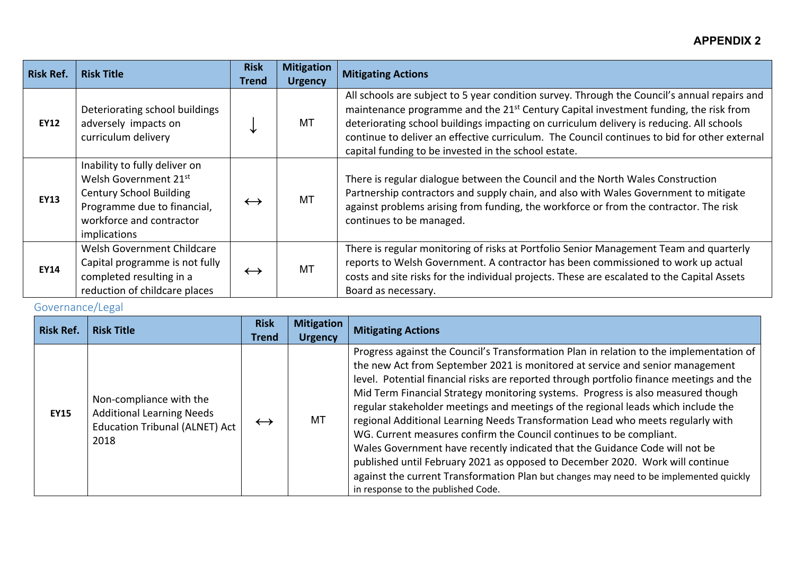| <b>Risk Ref.</b> | <b>Risk Title</b>                                                                                                                                                   | <b>Risk</b><br><b>Trend</b> | <b>Mitigation</b><br><b>Urgency</b> | <b>Mitigating Actions</b>                                                                                                                                                                                                                                                                                                                                                                                                                            |
|------------------|---------------------------------------------------------------------------------------------------------------------------------------------------------------------|-----------------------------|-------------------------------------|------------------------------------------------------------------------------------------------------------------------------------------------------------------------------------------------------------------------------------------------------------------------------------------------------------------------------------------------------------------------------------------------------------------------------------------------------|
| <b>EY12</b>      | Deteriorating school buildings<br>adversely impacts on<br>curriculum delivery                                                                                       |                             | MT                                  | All schools are subject to 5 year condition survey. Through the Council's annual repairs and<br>maintenance programme and the 21 <sup>st</sup> Century Capital investment funding, the risk from<br>deteriorating school buildings impacting on curriculum delivery is reducing. All schools<br>continue to deliver an effective curriculum. The Council continues to bid for other external<br>capital funding to be invested in the school estate. |
| <b>EY13</b>      | Inability to fully deliver on<br>Welsh Government 21st<br><b>Century School Building</b><br>Programme due to financial,<br>workforce and contractor<br>implications | $\leftrightarrow$           | MT                                  | There is regular dialogue between the Council and the North Wales Construction<br>Partnership contractors and supply chain, and also with Wales Government to mitigate<br>against problems arising from funding, the workforce or from the contractor. The risk<br>continues to be managed.                                                                                                                                                          |
| <b>EY14</b>      | Welsh Government Childcare<br>Capital programme is not fully<br>completed resulting in a<br>reduction of childcare places                                           | $\leftrightarrow$           | <b>MT</b>                           | There is regular monitoring of risks at Portfolio Senior Management Team and quarterly<br>reports to Welsh Government. A contractor has been commissioned to work up actual<br>costs and site risks for the individual projects. These are escalated to the Capital Assets<br>Board as necessary.                                                                                                                                                    |

### Governance/Legal

| <b>Risk Ref.</b> | <b>Risk Title</b>                                                                                            | <b>Risk</b><br><b>Trend</b> | <b>Mitigation</b><br><b>Urgency</b> | <b>Mitigating Actions</b>                                                                                                                                                                                                                                                                                                                                                                                                                                                                                                                                                                                                                                                                                                                                                                                                                                                                               |
|------------------|--------------------------------------------------------------------------------------------------------------|-----------------------------|-------------------------------------|---------------------------------------------------------------------------------------------------------------------------------------------------------------------------------------------------------------------------------------------------------------------------------------------------------------------------------------------------------------------------------------------------------------------------------------------------------------------------------------------------------------------------------------------------------------------------------------------------------------------------------------------------------------------------------------------------------------------------------------------------------------------------------------------------------------------------------------------------------------------------------------------------------|
| <b>EY15</b>      | Non-compliance with the<br><b>Additional Learning Needs</b><br><b>Education Tribunal (ALNET) Act</b><br>2018 | $\leftrightarrow$           | MT                                  | Progress against the Council's Transformation Plan in relation to the implementation of<br>the new Act from September 2021 is monitored at service and senior management<br>level. Potential financial risks are reported through portfolio finance meetings and the<br>Mid Term Financial Strategy monitoring systems. Progress is also measured though<br>regular stakeholder meetings and meetings of the regional leads which include the<br>regional Additional Learning Needs Transformation Lead who meets regularly with<br>WG. Current measures confirm the Council continues to be compliant.<br>Wales Government have recently indicated that the Guidance Code will not be<br>published until February 2021 as opposed to December 2020. Work will continue<br>against the current Transformation Plan but changes may need to be implemented quickly<br>in response to the published Code. |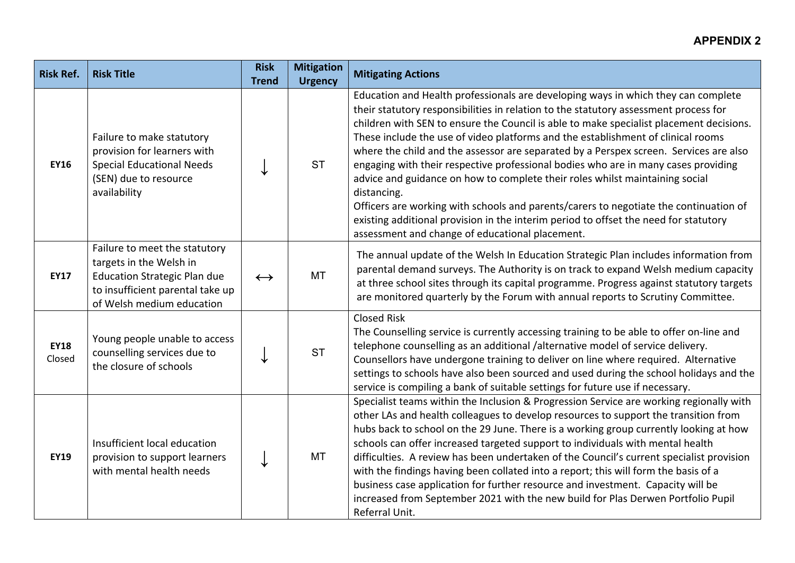| <b>Risk Ref.</b>      | <b>Risk Title</b>                                                                                                                                                | <b>Risk</b><br><b>Trend</b> | <b>Mitigation</b><br><b>Urgency</b> | <b>Mitigating Actions</b>                                                                                                                                                                                                                                                                                                                                                                                                                                                                                                                                                                                                                                                                                                                                                                                                                                                  |
|-----------------------|------------------------------------------------------------------------------------------------------------------------------------------------------------------|-----------------------------|-------------------------------------|----------------------------------------------------------------------------------------------------------------------------------------------------------------------------------------------------------------------------------------------------------------------------------------------------------------------------------------------------------------------------------------------------------------------------------------------------------------------------------------------------------------------------------------------------------------------------------------------------------------------------------------------------------------------------------------------------------------------------------------------------------------------------------------------------------------------------------------------------------------------------|
| <b>EY16</b>           | Failure to make statutory<br>provision for learners with<br><b>Special Educational Needs</b><br>(SEN) due to resource<br>availability                            |                             | <b>ST</b>                           | Education and Health professionals are developing ways in which they can complete<br>their statutory responsibilities in relation to the statutory assessment process for<br>children with SEN to ensure the Council is able to make specialist placement decisions.<br>These include the use of video platforms and the establishment of clinical rooms<br>where the child and the assessor are separated by a Perspex screen. Services are also<br>engaging with their respective professional bodies who are in many cases providing<br>advice and guidance on how to complete their roles whilst maintaining social<br>distancing.<br>Officers are working with schools and parents/carers to negotiate the continuation of<br>existing additional provision in the interim period to offset the need for statutory<br>assessment and change of educational placement. |
| <b>EY17</b>           | Failure to meet the statutory<br>targets in the Welsh in<br><b>Education Strategic Plan due</b><br>to insufficient parental take up<br>of Welsh medium education | $\leftrightarrow$           | <b>MT</b>                           | The annual update of the Welsh In Education Strategic Plan includes information from<br>parental demand surveys. The Authority is on track to expand Welsh medium capacity<br>at three school sites through its capital programme. Progress against statutory targets<br>are monitored quarterly by the Forum with annual reports to Scrutiny Committee.                                                                                                                                                                                                                                                                                                                                                                                                                                                                                                                   |
| <b>EY18</b><br>Closed | Young people unable to access<br>counselling services due to<br>the closure of schools                                                                           |                             | <b>ST</b>                           | <b>Closed Risk</b><br>The Counselling service is currently accessing training to be able to offer on-line and<br>telephone counselling as an additional /alternative model of service delivery.<br>Counsellors have undergone training to deliver on line where required. Alternative<br>settings to schools have also been sourced and used during the school holidays and the<br>service is compiling a bank of suitable settings for future use if necessary.                                                                                                                                                                                                                                                                                                                                                                                                           |
| <b>EY19</b>           | Insufficient local education<br>provision to support learners<br>with mental health needs                                                                        |                             | MT                                  | Specialist teams within the Inclusion & Progression Service are working regionally with<br>other LAs and health colleagues to develop resources to support the transition from<br>hubs back to school on the 29 June. There is a working group currently looking at how<br>schools can offer increased targeted support to individuals with mental health<br>difficulties. A review has been undertaken of the Council's current specialist provision<br>with the findings having been collated into a report; this will form the basis of a<br>business case application for further resource and investment. Capacity will be<br>increased from September 2021 with the new build for Plas Derwen Portfolio Pupil<br>Referral Unit.                                                                                                                                      |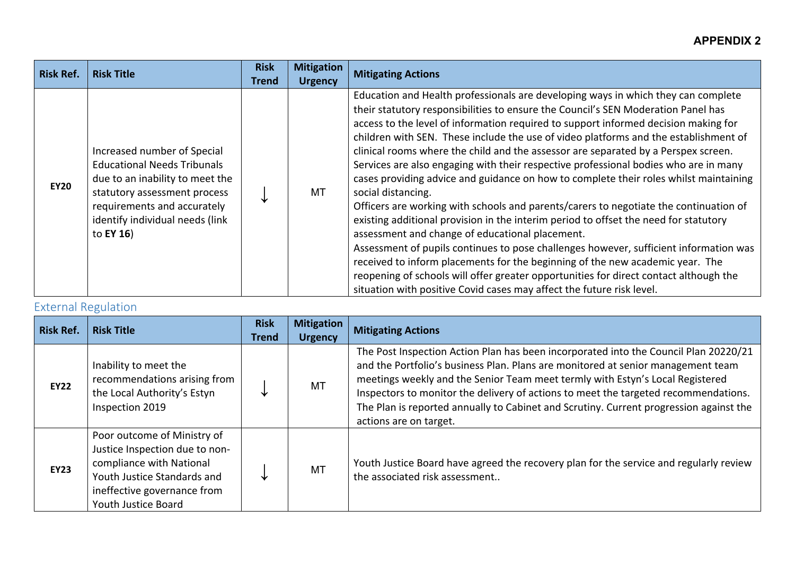| <b>Risk Ref.</b> | <b>Risk Title</b>                                                                                                                                                                                                           | <b>Risk</b><br><b>Trend</b> | <b>Mitigation</b><br><b>Urgency</b> | <b>Mitigating Actions</b>                                                                                                                                                                                                                                                                                                                                                                                                                                                                                                                                                                                                                                                                                                                                                                                                                                                                                                                                                                                                                                                                                                                                                                                                          |
|------------------|-----------------------------------------------------------------------------------------------------------------------------------------------------------------------------------------------------------------------------|-----------------------------|-------------------------------------|------------------------------------------------------------------------------------------------------------------------------------------------------------------------------------------------------------------------------------------------------------------------------------------------------------------------------------------------------------------------------------------------------------------------------------------------------------------------------------------------------------------------------------------------------------------------------------------------------------------------------------------------------------------------------------------------------------------------------------------------------------------------------------------------------------------------------------------------------------------------------------------------------------------------------------------------------------------------------------------------------------------------------------------------------------------------------------------------------------------------------------------------------------------------------------------------------------------------------------|
| <b>EY20</b>      | Increased number of Special<br><b>Educational Needs Tribunals</b><br>due to an inability to meet the<br>statutory assessment process<br>requirements and accurately<br>identify individual needs (link<br>to <b>EY 16</b> ) |                             | МT                                  | Education and Health professionals are developing ways in which they can complete<br>their statutory responsibilities to ensure the Council's SEN Moderation Panel has<br>access to the level of information required to support informed decision making for<br>children with SEN. These include the use of video platforms and the establishment of<br>clinical rooms where the child and the assessor are separated by a Perspex screen.<br>Services are also engaging with their respective professional bodies who are in many<br>cases providing advice and guidance on how to complete their roles whilst maintaining<br>social distancing.<br>Officers are working with schools and parents/carers to negotiate the continuation of<br>existing additional provision in the interim period to offset the need for statutory<br>assessment and change of educational placement.<br>Assessment of pupils continues to pose challenges however, sufficient information was<br>received to inform placements for the beginning of the new academic year. The<br>reopening of schools will offer greater opportunities for direct contact although the<br>situation with positive Covid cases may affect the future risk level. |

### External Regulation

| <b>Risk Ref.</b> | <b>Risk Title</b>                                                                                                                                                              | <b>Risk</b><br><b>Trend</b> | <b>Mitigation</b><br><b>Urgency</b> | <b>Mitigating Actions</b>                                                                                                                                                                                                                                                                                                                                                                                                                                            |
|------------------|--------------------------------------------------------------------------------------------------------------------------------------------------------------------------------|-----------------------------|-------------------------------------|----------------------------------------------------------------------------------------------------------------------------------------------------------------------------------------------------------------------------------------------------------------------------------------------------------------------------------------------------------------------------------------------------------------------------------------------------------------------|
| <b>EY22</b>      | Inability to meet the<br>recommendations arising from<br>the Local Authority's Estyn<br>Inspection 2019                                                                        |                             | <b>MT</b>                           | The Post Inspection Action Plan has been incorporated into the Council Plan 20220/21<br>and the Portfolio's business Plan. Plans are monitored at senior management team<br>meetings weekly and the Senior Team meet termly with Estyn's Local Registered<br>Inspectors to monitor the delivery of actions to meet the targeted recommendations.<br>The Plan is reported annually to Cabinet and Scrutiny. Current progression against the<br>actions are on target. |
| <b>EY23</b>      | Poor outcome of Ministry of<br>Justice Inspection due to non-<br>compliance with National<br>Youth Justice Standards and<br>ineffective governance from<br>Youth Justice Board |                             | <b>MT</b>                           | Youth Justice Board have agreed the recovery plan for the service and regularly review<br>the associated risk assessment                                                                                                                                                                                                                                                                                                                                             |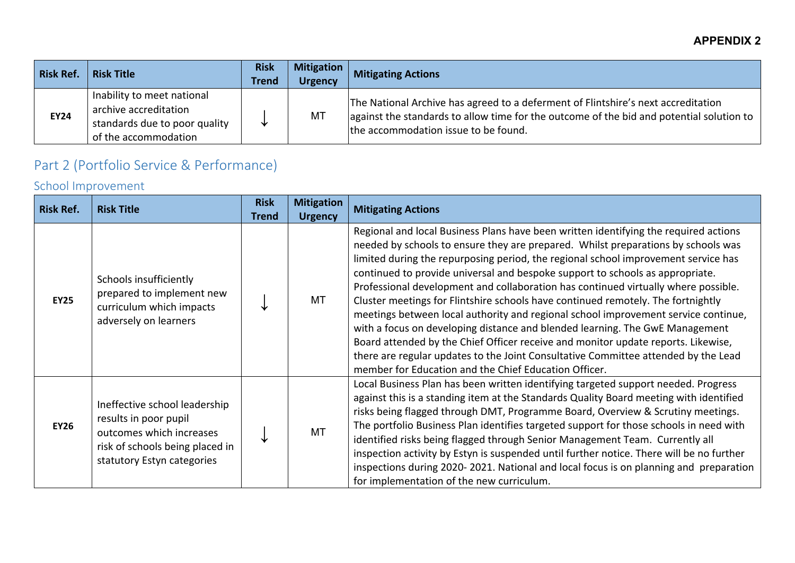| <b>Risk Ref.</b> | <b>Risk Title</b>                                                                                            | <b>Risk</b><br><b>Trend</b> | <b>Mitigation</b><br><b>Urgency</b> | <b>Mitigating Actions</b>                                                                                                                                                                                                               |
|------------------|--------------------------------------------------------------------------------------------------------------|-----------------------------|-------------------------------------|-----------------------------------------------------------------------------------------------------------------------------------------------------------------------------------------------------------------------------------------|
| <b>EY24</b>      | Inability to meet national<br>archive accreditation<br>standards due to poor quality<br>of the accommodation | ◡                           | MT                                  | The National Archive has agreed to a deferment of Flintshire's next accreditation<br>$\alpha$ against the standards to allow time for the outcome of the bid and potential solution to $\alpha$<br>the accommodation issue to be found. |

# Part 2 (Portfolio Service & Performance)

# School Improvement

| <b>Risk Ref.</b> | <b>Risk Title</b>                                                                                                                                   | <b>Risk</b><br><b>Trend</b> | <b>Mitigation</b><br><b>Urgency</b> | <b>Mitigating Actions</b>                                                                                                                                                                                                                                                                                                                                                                                                                                                                                                                                                                                                                                                                                                                                                                                                                                                                                                            |
|------------------|-----------------------------------------------------------------------------------------------------------------------------------------------------|-----------------------------|-------------------------------------|--------------------------------------------------------------------------------------------------------------------------------------------------------------------------------------------------------------------------------------------------------------------------------------------------------------------------------------------------------------------------------------------------------------------------------------------------------------------------------------------------------------------------------------------------------------------------------------------------------------------------------------------------------------------------------------------------------------------------------------------------------------------------------------------------------------------------------------------------------------------------------------------------------------------------------------|
| <b>EY25</b>      | Schools insufficiently<br>prepared to implement new<br>curriculum which impacts<br>adversely on learners                                            |                             | <b>MT</b>                           | Regional and local Business Plans have been written identifying the required actions<br>needed by schools to ensure they are prepared. Whilst preparations by schools was<br>limited during the repurposing period, the regional school improvement service has<br>continued to provide universal and bespoke support to schools as appropriate.<br>Professional development and collaboration has continued virtually where possible.<br>Cluster meetings for Flintshire schools have continued remotely. The fortnightly<br>meetings between local authority and regional school improvement service continue,<br>with a focus on developing distance and blended learning. The GwE Management<br>Board attended by the Chief Officer receive and monitor update reports. Likewise,<br>there are regular updates to the Joint Consultative Committee attended by the Lead<br>member for Education and the Chief Education Officer. |
| <b>EY26</b>      | Ineffective school leadership<br>results in poor pupil<br>outcomes which increases<br>risk of schools being placed in<br>statutory Estyn categories |                             | <b>MT</b>                           | Local Business Plan has been written identifying targeted support needed. Progress<br>against this is a standing item at the Standards Quality Board meeting with identified<br>risks being flagged through DMT, Programme Board, Overview & Scrutiny meetings.<br>The portfolio Business Plan identifies targeted support for those schools in need with<br>identified risks being flagged through Senior Management Team. Currently all<br>inspection activity by Estyn is suspended until further notice. There will be no further<br>inspections during 2020-2021. National and local focus is on planning and preparation<br>for implementation of the new curriculum.                                                                                                                                                                                                                                                          |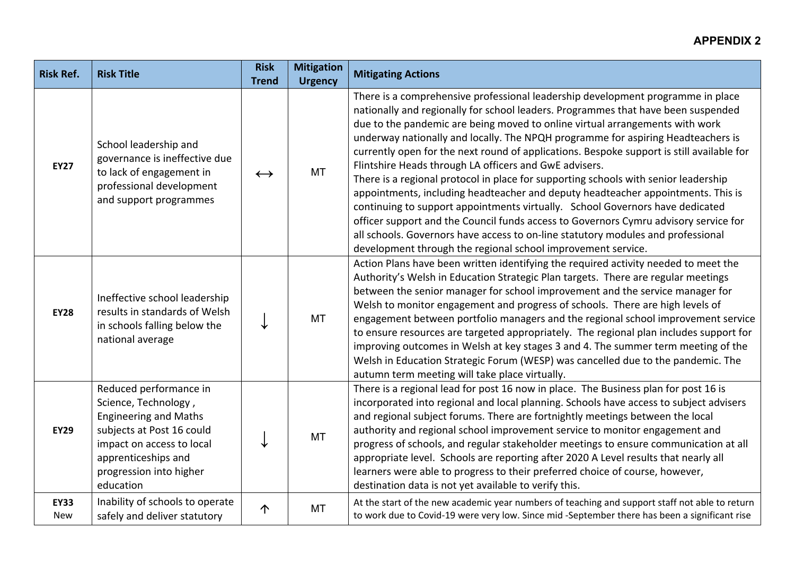| <b>Risk Ref.</b>          | <b>Risk Title</b>                                                                                                                                                                                       | <b>Risk</b><br><b>Trend</b> | <b>Mitigation</b><br><b>Urgency</b> | <b>Mitigating Actions</b>                                                                                                                                                                                                                                                                                                                                                                                                                                                                                                                                                                                                                                                                                                                                                                                                                                                                                                                                                                               |
|---------------------------|---------------------------------------------------------------------------------------------------------------------------------------------------------------------------------------------------------|-----------------------------|-------------------------------------|---------------------------------------------------------------------------------------------------------------------------------------------------------------------------------------------------------------------------------------------------------------------------------------------------------------------------------------------------------------------------------------------------------------------------------------------------------------------------------------------------------------------------------------------------------------------------------------------------------------------------------------------------------------------------------------------------------------------------------------------------------------------------------------------------------------------------------------------------------------------------------------------------------------------------------------------------------------------------------------------------------|
| <b>EY27</b>               | School leadership and<br>governance is ineffective due<br>to lack of engagement in<br>professional development<br>and support programmes                                                                | $\leftrightarrow$           | <b>MT</b>                           | There is a comprehensive professional leadership development programme in place<br>nationally and regionally for school leaders. Programmes that have been suspended<br>due to the pandemic are being moved to online virtual arrangements with work<br>underway nationally and locally. The NPQH programme for aspiring Headteachers is<br>currently open for the next round of applications. Bespoke support is still available for<br>Flintshire Heads through LA officers and GwE advisers.<br>There is a regional protocol in place for supporting schools with senior leadership<br>appointments, including headteacher and deputy headteacher appointments. This is<br>continuing to support appointments virtually. School Governors have dedicated<br>officer support and the Council funds access to Governors Cymru advisory service for<br>all schools. Governors have access to on-line statutory modules and professional<br>development through the regional school improvement service. |
| <b>EY28</b>               | Ineffective school leadership<br>results in standards of Welsh<br>in schools falling below the<br>national average                                                                                      |                             | <b>MT</b>                           | Action Plans have been written identifying the required activity needed to meet the<br>Authority's Welsh in Education Strategic Plan targets. There are regular meetings<br>between the senior manager for school improvement and the service manager for<br>Welsh to monitor engagement and progress of schools. There are high levels of<br>engagement between portfolio managers and the regional school improvement service<br>to ensure resources are targeted appropriately. The regional plan includes support for<br>improving outcomes in Welsh at key stages 3 and 4. The summer term meeting of the<br>Welsh in Education Strategic Forum (WESP) was cancelled due to the pandemic. The<br>autumn term meeting will take place virtually.                                                                                                                                                                                                                                                    |
| <b>EY29</b>               | Reduced performance in<br>Science, Technology,<br><b>Engineering and Maths</b><br>subjects at Post 16 could<br>impact on access to local<br>apprenticeships and<br>progression into higher<br>education |                             | <b>MT</b>                           | There is a regional lead for post 16 now in place. The Business plan for post 16 is<br>incorporated into regional and local planning. Schools have access to subject advisers<br>and regional subject forums. There are fortnightly meetings between the local<br>authority and regional school improvement service to monitor engagement and<br>progress of schools, and regular stakeholder meetings to ensure communication at all<br>appropriate level. Schools are reporting after 2020 A Level results that nearly all<br>learners were able to progress to their preferred choice of course, however,<br>destination data is not yet available to verify this.                                                                                                                                                                                                                                                                                                                                   |
| <b>EY33</b><br><b>New</b> | Inability of schools to operate<br>safely and deliver statutory                                                                                                                                         | $\uparrow$                  | <b>MT</b>                           | At the start of the new academic year numbers of teaching and support staff not able to return<br>to work due to Covid-19 were very low. Since mid -September there has been a significant rise                                                                                                                                                                                                                                                                                                                                                                                                                                                                                                                                                                                                                                                                                                                                                                                                         |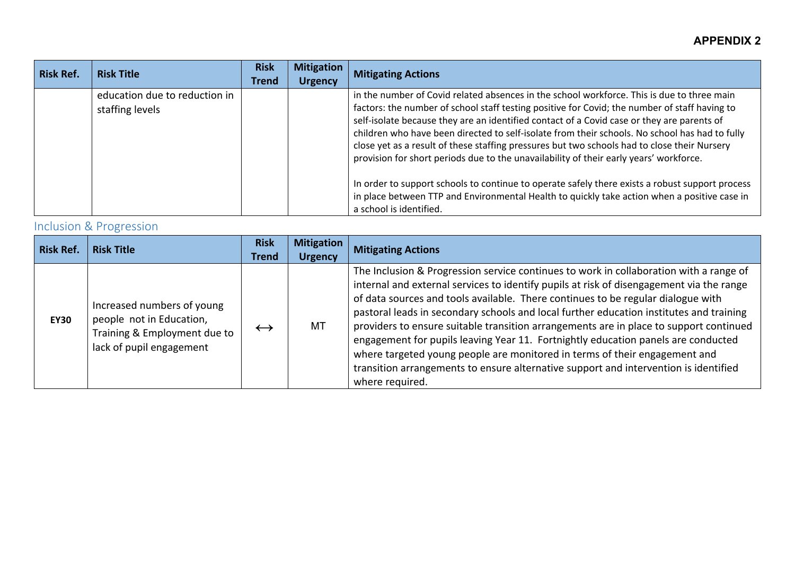| <b>Risk Ref.</b> | <b>Risk Title</b>                                | <b>Risk</b><br><b>Trend</b> | <b>Mitigation</b><br><b>Urgency</b> | <b>Mitigating Actions</b>                                                                                                                                                                                                                                                                                                                                                                                                                                                                                                                                                                                                                                                                                                                                                                                           |
|------------------|--------------------------------------------------|-----------------------------|-------------------------------------|---------------------------------------------------------------------------------------------------------------------------------------------------------------------------------------------------------------------------------------------------------------------------------------------------------------------------------------------------------------------------------------------------------------------------------------------------------------------------------------------------------------------------------------------------------------------------------------------------------------------------------------------------------------------------------------------------------------------------------------------------------------------------------------------------------------------|
|                  | education due to reduction in<br>staffing levels |                             |                                     | in the number of Covid related absences in the school workforce. This is due to three main<br>factors: the number of school staff testing positive for Covid; the number of staff having to<br>self-isolate because they are an identified contact of a Covid case or they are parents of<br>children who have been directed to self-isolate from their schools. No school has had to fully<br>close yet as a result of these staffing pressures but two schools had to close their Nursery<br>provision for short periods due to the unavailability of their early years' workforce.<br>In order to support schools to continue to operate safely there exists a robust support process<br>in place between TTP and Environmental Health to quickly take action when a positive case in<br>a school is identified. |

# Inclusion & Progression

| Risk Ref.   | <b>Risk Title</b>                                                                                                  | <b>Risk</b><br>Trend | <b>Mitigation</b><br><b>Urgency</b> | <b>Mitigating Actions</b>                                                                                                                                                                                                                                                                                                                                                                                                                                                                                                                                                                                                                                                                                                                 |
|-------------|--------------------------------------------------------------------------------------------------------------------|----------------------|-------------------------------------|-------------------------------------------------------------------------------------------------------------------------------------------------------------------------------------------------------------------------------------------------------------------------------------------------------------------------------------------------------------------------------------------------------------------------------------------------------------------------------------------------------------------------------------------------------------------------------------------------------------------------------------------------------------------------------------------------------------------------------------------|
| <b>EY30</b> | Increased numbers of young<br>people not in Education,<br>Training & Employment due to<br>lack of pupil engagement | $\leftrightarrow$    | MT                                  | The Inclusion & Progression service continues to work in collaboration with a range of<br>internal and external services to identify pupils at risk of disengagement via the range<br>of data sources and tools available. There continues to be regular dialogue with<br>pastoral leads in secondary schools and local further education institutes and training<br>providers to ensure suitable transition arrangements are in place to support continued<br>engagement for pupils leaving Year 11. Fortnightly education panels are conducted<br>where targeted young people are monitored in terms of their engagement and<br>transition arrangements to ensure alternative support and intervention is identified<br>where required. |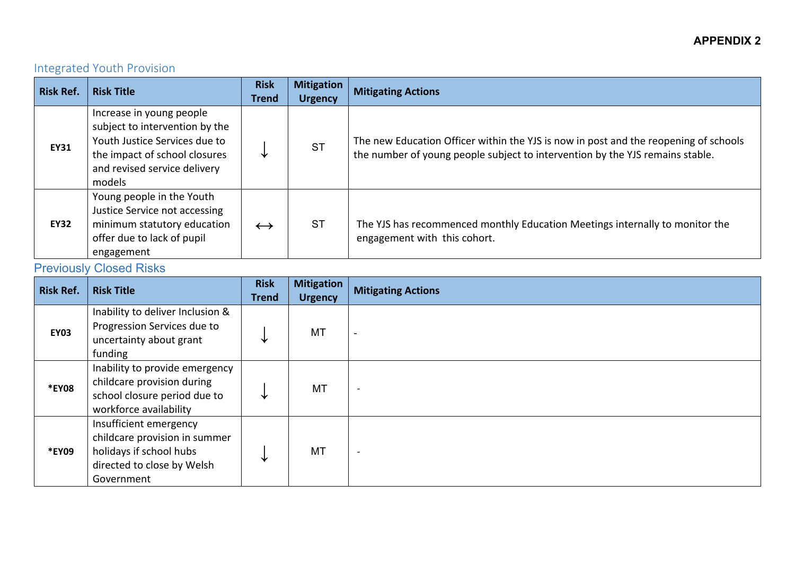### Integrated Youth Provision

| <b>Risk Ref.</b> | <b>Risk Title</b>                                                                                                                                                      | <b>Risk</b><br><b>Trend</b> | <b>Mitigation</b><br><b>Urgency</b> | <b>Mitigating Actions</b>                                                                                                                                             |
|------------------|------------------------------------------------------------------------------------------------------------------------------------------------------------------------|-----------------------------|-------------------------------------|-----------------------------------------------------------------------------------------------------------------------------------------------------------------------|
| <b>EY31</b>      | Increase in young people<br>subject to intervention by the<br>Youth Justice Services due to<br>the impact of school closures<br>and revised service delivery<br>models |                             | <b>ST</b>                           | The new Education Officer within the YJS is now in post and the reopening of schools<br>the number of young people subject to intervention by the YJS remains stable. |
| <b>EY32</b>      | Young people in the Youth<br>Justice Service not accessing<br>minimum statutory education<br>offer due to lack of pupil<br>engagement                                  | $\leftrightarrow$           | <b>ST</b>                           | The YJS has recommenced monthly Education Meetings internally to monitor the<br>engagement with this cohort.                                                          |

# **Previously Closed Risks**

| <b>Risk Ref.</b> | <b>Risk Title</b>                                                                                                              | <b>Risk</b><br><b>Trend</b> | <b>Mitigation</b><br><b>Urgency</b> | <b>Mitigating Actions</b> |
|------------------|--------------------------------------------------------------------------------------------------------------------------------|-----------------------------|-------------------------------------|---------------------------|
| <b>EY03</b>      | Inability to deliver Inclusion &<br>Progression Services due to<br>uncertainty about grant<br>funding                          | ◡                           | MT                                  |                           |
| *EY08            | Inability to provide emergency<br>childcare provision during<br>school closure period due to<br>workforce availability         | ⊻                           | MT                                  | $\overline{\phantom{a}}$  |
| *EY09            | Insufficient emergency<br>childcare provision in summer<br>holidays if school hubs<br>directed to close by Welsh<br>Government | ╰                           | <b>MT</b>                           | $\overline{\phantom{a}}$  |